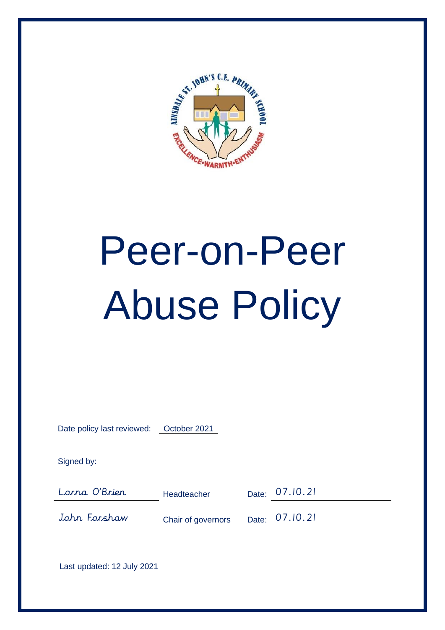

# Peer-on-Peer Abuse Policy

| Date policy last reviewed: | October 2021       |       |          |
|----------------------------|--------------------|-------|----------|
| Signed by:                 |                    |       |          |
| Lorna O'Brier              | Headteacher        | Date: | 07.10.21 |
| John Forshaw               | Chair of governors | Date: | 07.10.21 |
|                            |                    |       |          |

Last updated: 12 July 2021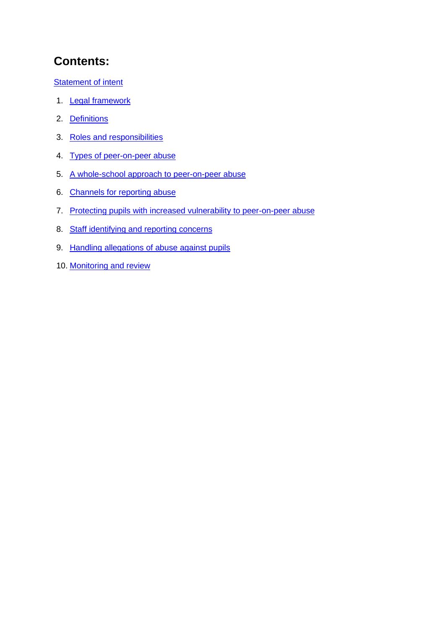# **Contents:**

**Statement of intent** 

- 1. **Legal framework**
- 2. Definitions
- 3. Roles and responsibilities
- 4. Types of peer-on-peer abuse
- 5. A whole-school approach to peer-on-peer abuse
- 6. Channels for reporting abuse
- 7. Protecting pupils with increased vulnerability to peer-on-peer abuse
- 8. Staff identifying and reporting concerns
- 9. Handling allegations of abuse against pupils
- 10. Monitoring and review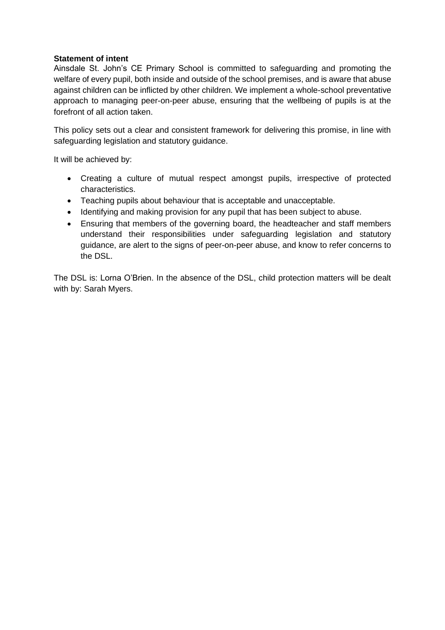#### **Statement of intent**

Ainsdale St. John's CE Primary School is committed to safeguarding and promoting the welfare of every pupil, both inside and outside of the school premises, and is aware that abuse against children can be inflicted by other children. We implement a whole-school preventative approach to managing peer-on-peer abuse, ensuring that the wellbeing of pupils is at the forefront of all action taken.

This policy sets out a clear and consistent framework for delivering this promise, in line with safeguarding legislation and statutory guidance.

It will be achieved by:

- Creating a culture of mutual respect amongst pupils, irrespective of protected characteristics.
- Teaching pupils about behaviour that is acceptable and unacceptable.
- Identifying and making provision for any pupil that has been subject to abuse.
- Ensuring that members of the governing board, the headteacher and staff members understand their responsibilities under safeguarding legislation and statutory guidance, are alert to the signs of peer-on-peer abuse, and know to refer concerns to the DSL.

The DSL is: Lorna O'Brien. In the absence of the DSL, child protection matters will be dealt with by: Sarah Myers.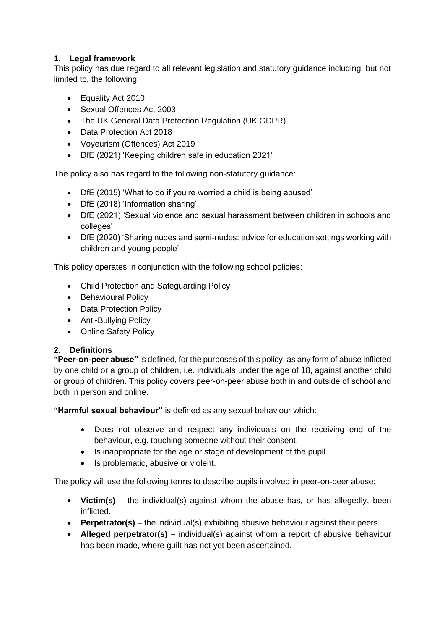# **1. Legal framework**

This policy has due regard to all relevant legislation and statutory guidance including, but not limited to, the following:

- Equality Act 2010
- Sexual Offences Act 2003
- The UK General Data Protection Regulation (UK GDPR)
- Data Protection Act 2018
- Voyeurism (Offences) Act 2019
- DfE (2021) 'Keeping children safe in education 2021'

The policy also has regard to the following non-statutory guidance:

- DfE (2015) 'What to do if you're worried a child is being abused'
- DfE (2018) 'Information sharing'
- DfE (2021) 'Sexual violence and sexual harassment between children in schools and colleges'
- DfE (2020) 'Sharing nudes and semi-nudes: advice for education settings working with children and young people'

This policy operates in conjunction with the following school policies:

- Child Protection and Safeguarding Policy
- Behavioural Policy
- Data Protection Policy
- Anti-Bullying Policy
- Online Safety Policy

## **2. Definitions**

**"Peer-on-peer abuse"** is defined, for the purposes of this policy, as any form of abuse inflicted by one child or a group of children, i.e. individuals under the age of 18, against another child or group of children. This policy covers peer-on-peer abuse both in and outside of school and both in person and online.

**"Harmful sexual behaviour"** is defined as any sexual behaviour which:

- Does not observe and respect any individuals on the receiving end of the behaviour, e.g. touching someone without their consent.
- Is inappropriate for the age or stage of development of the pupil.
- Is problematic, abusive or violent.

The policy will use the following terms to describe pupils involved in peer-on-peer abuse:

- **Victim(s)** the individual(s) against whom the abuse has, or has allegedly, been inflicted.
- **Perpetrator(s)** the individual(s) exhibiting abusive behaviour against their peers.
- **Alleged perpetrator(s)** individual(s) against whom a report of abusive behaviour has been made, where guilt has not yet been ascertained.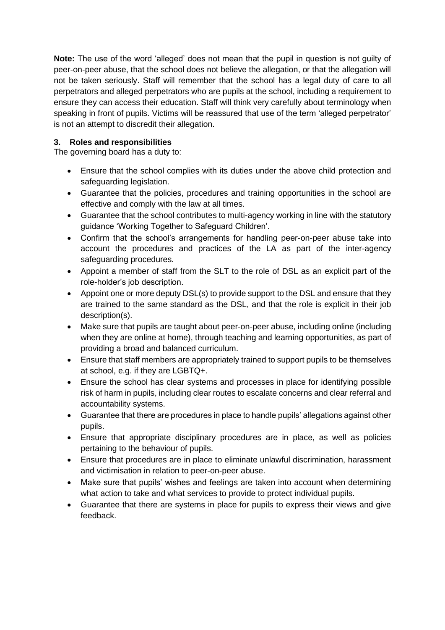**Note:** The use of the word 'alleged' does not mean that the pupil in question is not guilty of peer-on-peer abuse, that the school does not believe the allegation, or that the allegation will not be taken seriously. Staff will remember that the school has a legal duty of care to all perpetrators and alleged perpetrators who are pupils at the school, including a requirement to ensure they can access their education. Staff will think very carefully about terminology when speaking in front of pupils. Victims will be reassured that use of the term 'alleged perpetrator' is not an attempt to discredit their allegation.

# **3. Roles and responsibilities**

The governing board has a duty to:

- Ensure that the school complies with its duties under the above child protection and safeguarding legislation.
- Guarantee that the policies, procedures and training opportunities in the school are effective and comply with the law at all times.
- Guarantee that the school contributes to multi-agency working in line with the statutory guidance 'Working Together to Safeguard Children'.
- Confirm that the school's arrangements for handling peer-on-peer abuse take into account the procedures and practices of the LA as part of the inter-agency safeguarding procedures.
- Appoint a member of staff from the SLT to the role of DSL as an explicit part of the role-holder's job description.
- Appoint one or more deputy DSL(s) to provide support to the DSL and ensure that they are trained to the same standard as the DSL, and that the role is explicit in their job description(s).
- Make sure that pupils are taught about peer-on-peer abuse, including online (including when they are online at home), through teaching and learning opportunities, as part of providing a broad and balanced curriculum.
- Ensure that staff members are appropriately trained to support pupils to be themselves at school, e.g. if they are LGBTQ+.
- Ensure the school has clear systems and processes in place for identifying possible risk of harm in pupils, including clear routes to escalate concerns and clear referral and accountability systems.
- Guarantee that there are procedures in place to handle pupils' allegations against other pupils.
- Ensure that appropriate disciplinary procedures are in place, as well as policies pertaining to the behaviour of pupils.
- Ensure that procedures are in place to eliminate unlawful discrimination, harassment and victimisation in relation to peer-on-peer abuse.
- Make sure that pupils' wishes and feelings are taken into account when determining what action to take and what services to provide to protect individual pupils.
- Guarantee that there are systems in place for pupils to express their views and give feedback.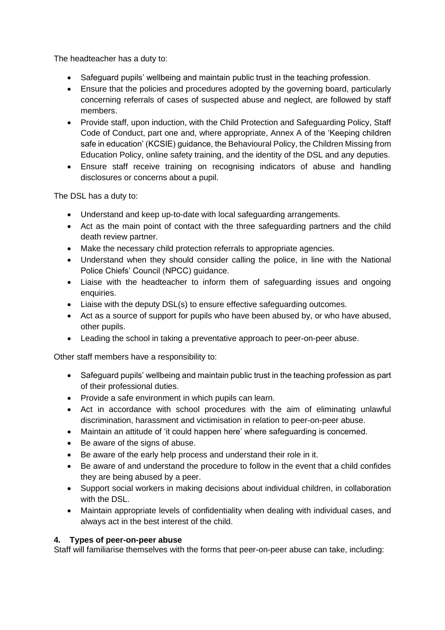The headteacher has a duty to:

- Safeguard pupils' wellbeing and maintain public trust in the teaching profession.
- Ensure that the policies and procedures adopted by the governing board, particularly concerning referrals of cases of suspected abuse and neglect, are followed by staff members.
- Provide staff, upon induction, with the Child Protection and Safeguarding Policy, Staff Code of Conduct, part one and, where appropriate, Annex A of the 'Keeping children safe in education' (KCSIE) guidance, the Behavioural Policy, the Children Missing from Education Policy, online safety training, and the identity of the DSL and any deputies.
- Ensure staff receive training on recognising indicators of abuse and handling disclosures or concerns about a pupil.

The DSL has a duty to:

- Understand and keep up-to-date with local safeguarding arrangements.
- Act as the main point of contact with the three safeguarding partners and the child death review partner.
- Make the necessary child protection referrals to appropriate agencies.
- Understand when they should consider calling the police, in line with the National Police Chiefs' Council (NPCC) [guidance.](https://www.npcc.police.uk/documents/Children%20and%20Young%20people/When%20to%20call%20the%20police%20guidance%20for%20schools%20and%20colleges.pdf)
- Liaise with the headteacher to inform them of safeguarding issues and ongoing enquiries.
- Liaise with the deputy DSL(s) to ensure effective safeguarding outcomes.
- Act as a source of support for pupils who have been abused by, or who have abused, other pupils.
- Leading the school in taking a preventative approach to peer-on-peer abuse.

Other staff members have a responsibility to:

- Safeguard pupils' wellbeing and maintain public trust in the teaching profession as part of their professional duties.
- Provide a safe environment in which pupils can learn.
- Act in accordance with school procedures with the aim of eliminating unlawful discrimination, harassment and victimisation in relation to peer-on-peer abuse.
- Maintain an attitude of 'it could happen here' where safeguarding is concerned.
- Be aware of the signs of abuse.
- Be aware of the early help process and understand their role in it.
- Be aware of and understand the procedure to follow in the event that a child confides they are being abused by a peer.
- Support social workers in making decisions about individual children, in collaboration with the DSL.
- Maintain appropriate levels of confidentiality when dealing with individual cases, and always act in the best interest of the child.

#### **4. Types of peer-on-peer abuse**

Staff will familiarise themselves with the forms that peer-on-peer abuse can take, including: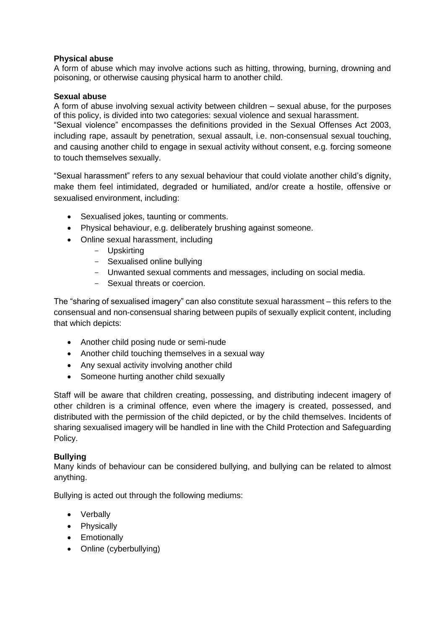#### **Physical abuse**

A form of abuse which may involve actions such as hitting, throwing, burning, drowning and poisoning, or otherwise causing physical harm to another child.

#### **Sexual abuse**

A form of abuse involving sexual activity between children – sexual abuse, for the purposes of this policy, is divided into two categories: sexual violence and sexual harassment. "Sexual violence" encompasses the definitions provided in the Sexual Offenses Act 2003, including rape, assault by penetration, sexual assault, i.e. non-consensual sexual touching, and causing another child to engage in sexual activity without consent, e.g. forcing someone to touch themselves sexually.

"Sexual harassment" refers to any sexual behaviour that could violate another child's dignity, make them feel intimidated, degraded or humiliated, and/or create a hostile, offensive or sexualised environment, including:

- Sexualised jokes, taunting or comments.
- Physical behaviour, e.g. deliberately brushing against someone.
- Online sexual harassment, including
	- Upskirting
	- Sexualised online bullying
	- Unwanted sexual comments and messages, including on social media.
	- Sexual threats or coercion.

The "sharing of sexualised imagery" can also constitute sexual harassment – this refers to the consensual and non-consensual sharing between pupils of sexually explicit content, including that which depicts:

- Another child posing nude or semi-nude
- Another child touching themselves in a sexual way
- Any sexual activity involving another child
- Someone hurting another child sexually

Staff will be aware that children creating, possessing, and distributing indecent imagery of other children is a criminal offence, even where the imagery is created, possessed, and distributed with the permission of the child depicted, or by the child themselves. Incidents of sharing sexualised imagery will be handled in line with the Child Protection and Safeguarding Policy.

#### **Bullying**

Many kinds of behaviour can be considered bullying, and bullying can be related to almost anything.

Bullying is acted out through the following mediums:

- Verbally
- Physically
- Emotionally
- Online (cyberbullying)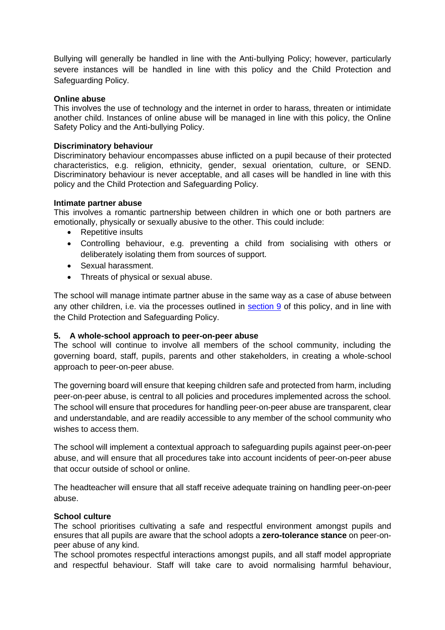Bullying will generally be handled in line with the Anti-bullying Policy; however, particularly severe instances will be handled in line with this policy and the Child Protection and Safeguarding Policy.

#### **Online abuse**

This involves the use of technology and the internet in order to harass, threaten or intimidate another child. Instances of online abuse will be managed in line with this policy, the Online Safety Policy and the Anti-bullying Policy.

#### **Discriminatory behaviour**

Discriminatory behaviour encompasses abuse inflicted on a pupil because of their protected characteristics, e.g. religion, ethnicity, gender, sexual orientation, culture, or SEND. Discriminatory behaviour is never acceptable, and all cases will be handled in line with this policy and the Child Protection and Safeguarding Policy.

#### **Intimate partner abuse**

This involves a romantic partnership between children in which one or both partners are emotionally, physically or sexually abusive to the other. This could include:

- Repetitive insults
- Controlling behaviour, e.g. preventing a child from socialising with others or deliberately isolating them from sources of support.
- Sexual harassment.
- Threats of physical or sexual abuse.

The school will manage intimate partner abuse in the same way as a case of abuse between any other children, i.e. via the processes outlined in section 9 of this policy, and in line with the Child Protection and Safeguarding Policy.

#### **5. A whole-school approach to peer-on-peer abuse**

The school will continue to involve all members of the school community, including the governing board, staff, pupils, parents and other stakeholders, in creating a whole-school approach to peer-on-peer abuse.

The governing board will ensure that keeping children safe and protected from harm, including peer-on-peer abuse, is central to all policies and procedures implemented across the school. The school will ensure that procedures for handling peer-on-peer abuse are transparent, clear and understandable, and are readily accessible to any member of the school community who wishes to access them.

The school will implement a contextual approach to safeguarding pupils against peer-on-peer abuse, and will ensure that all procedures take into account incidents of peer-on-peer abuse that occur outside of school or online.

The headteacher will ensure that all staff receive adequate training on handling peer-on-peer abuse.

#### **School culture**

The school prioritises cultivating a safe and respectful environment amongst pupils and ensures that all pupils are aware that the school adopts a **zero-tolerance stance** on peer-onpeer abuse of any kind.

The school promotes respectful interactions amongst pupils, and all staff model appropriate and respectful behaviour. Staff will take care to avoid normalising harmful behaviour,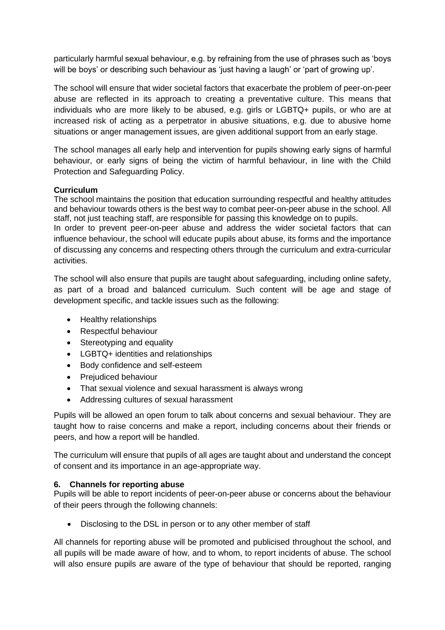particularly harmful sexual behaviour, e.g. by refraining from the use of phrases such as 'boys will be boys' or describing such behaviour as 'just having a laugh' or 'part of growing up'.

The school will ensure that wider societal factors that exacerbate the problem of peer-on-peer abuse are reflected in its approach to creating a preventative culture. This means that individuals who are more likely to be abused, e.g. girls or LGBTQ+ pupils, or who are at increased risk of acting as a perpetrator in abusive situations, e.g. due to abusive home situations or anger management issues, are given additional support from an early stage.

The school manages all early help and intervention for pupils showing early signs of harmful behaviour, or early signs of being the victim of harmful behaviour, in line with the Child Protection and Safeguarding Policy.

#### **Curriculum**

The school maintains the position that education surrounding respectful and healthy attitudes and behaviour towards others is the best way to combat peer-on-peer abuse in the school. All staff, not just teaching staff, are responsible for passing this knowledge on to pupils.

In order to prevent peer-on-peer abuse and address the wider societal factors that can influence behaviour, the school will educate pupils about abuse, its forms and the importance of discussing any concerns and respecting others through the curriculum and extra-curricular activities.

The school will also ensure that pupils are taught about safeguarding, including online safety, as part of a broad and balanced curriculum. Such content will be age and stage of development specific, and tackle issues such as the following:

- Healthy relationships
- Respectful behaviour
- Stereotyping and equality
- LGBTQ+ identities and relationships
- Body confidence and self-esteem
- Prejudiced behaviour
- That sexual violence and sexual harassment is always wrong
- Addressing cultures of sexual harassment

Pupils will be allowed an open forum to talk about concerns and sexual behaviour. They are taught how to raise concerns and make a report, including concerns about their friends or peers, and how a report will be handled.

The curriculum will ensure that pupils of all ages are taught about and understand the concept of consent and its importance in an age-appropriate way.

#### **6. Channels for reporting abuse**

Pupils will be able to report incidents of peer-on-peer abuse or concerns about the behaviour of their peers through the following channels:

• Disclosing to the DSL in person or to any other member of staff

All channels for reporting abuse will be promoted and publicised throughout the school, and all pupils will be made aware of how, and to whom, to report incidents of abuse. The school will also ensure pupils are aware of the type of behaviour that should be reported, ranging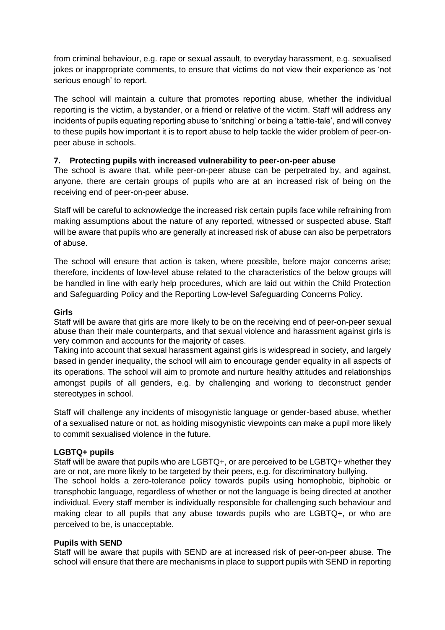from criminal behaviour, e.g. rape or sexual assault, to everyday harassment, e.g. sexualised jokes or inappropriate comments, to ensure that victims do not view their experience as 'not serious enough' to report.

The school will maintain a culture that promotes reporting abuse, whether the individual reporting is the victim, a bystander, or a friend or relative of the victim. Staff will address any incidents of pupils equating reporting abuse to 'snitching' or being a 'tattle-tale', and will convey to these pupils how important it is to report abuse to help tackle the wider problem of peer-onpeer abuse in schools.

#### **7. Protecting pupils with increased vulnerability to peer-on-peer abuse**

The school is aware that, while peer-on-peer abuse can be perpetrated by, and against, anyone, there are certain groups of pupils who are at an increased risk of being on the receiving end of peer-on-peer abuse.

Staff will be careful to acknowledge the increased risk certain pupils face while refraining from making assumptions about the nature of any reported, witnessed or suspected abuse. Staff will be aware that pupils who are generally at increased risk of abuse can also be perpetrators of abuse.

The school will ensure that action is taken, where possible, before major concerns arise; therefore, incidents of low-level abuse related to the characteristics of the below groups will be handled in line with early help procedures, which are laid out within the Child Protection and Safeguarding Policy and the Reporting Low-level Safeguarding Concerns Policy.

#### **Girls**

Staff will be aware that girls are more likely to be on the receiving end of peer-on-peer sexual abuse than their male counterparts, and that sexual violence and harassment against girls is very common and accounts for the majority of cases.

Taking into account that sexual harassment against girls is widespread in society, and largely based in gender inequality, the school will aim to encourage gender equality in all aspects of its operations. The school will aim to promote and nurture healthy attitudes and relationships amongst pupils of all genders, e.g. by challenging and working to deconstruct gender stereotypes in school.

Staff will challenge any incidents of misogynistic language or gender-based abuse, whether of a sexualised nature or not, as holding misogynistic viewpoints can make a pupil more likely to commit sexualised violence in the future.

#### **LGBTQ+ pupils**

Staff will be aware that pupils who are LGBTQ+, or are perceived to be LGBTQ+ whether they are or not, are more likely to be targeted by their peers, e.g. for discriminatory bullying. The school holds a zero-tolerance policy towards pupils using homophobic, biphobic or transphobic language, regardless of whether or not the language is being directed at another individual. Every staff member is individually responsible for challenging such behaviour and making clear to all pupils that any abuse towards pupils who are LGBTQ+, or who are perceived to be, is unacceptable.

#### **Pupils with SEND**

Staff will be aware that pupils with SEND are at increased risk of peer-on-peer abuse. The school will ensure that there are mechanisms in place to support pupils with SEND in reporting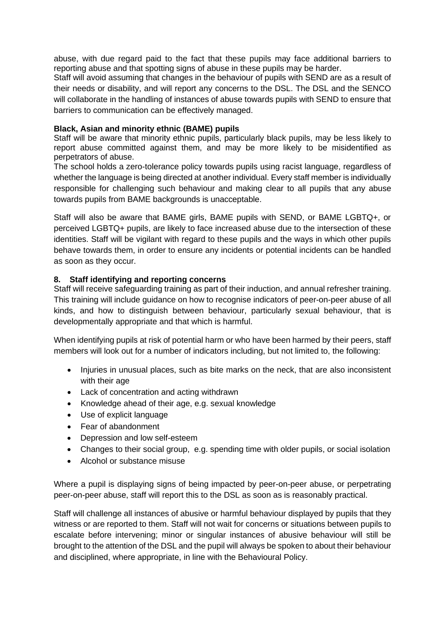abuse, with due regard paid to the fact that these pupils may face additional barriers to reporting abuse and that spotting signs of abuse in these pupils may be harder.

Staff will avoid assuming that changes in the behaviour of pupils with SEND are as a result of their needs or disability, and will report any concerns to the DSL. The DSL and the SENCO will collaborate in the handling of instances of abuse towards pupils with SEND to ensure that barriers to communication can be effectively managed.

#### **Black, Asian and minority ethnic (BAME) pupils**

Staff will be aware that minority ethnic pupils, particularly black pupils, may be less likely to report abuse committed against them, and may be more likely to be misidentified as perpetrators of abuse.

The school holds a zero-tolerance policy towards pupils using racist language, regardless of whether the language is being directed at another individual. Every staff member is individually responsible for challenging such behaviour and making clear to all pupils that any abuse towards pupils from BAME backgrounds is unacceptable.

Staff will also be aware that BAME girls, BAME pupils with SEND, or BAME LGBTQ+, or perceived LGBTQ+ pupils, are likely to face increased abuse due to the intersection of these identities. Staff will be vigilant with regard to these pupils and the ways in which other pupils behave towards them, in order to ensure any incidents or potential incidents can be handled as soon as they occur.

#### **8. Staff identifying and reporting concerns**

Staff will receive safeguarding training as part of their induction, and annual refresher training. This training will include guidance on how to recognise indicators of peer-on-peer abuse of all kinds, and how to distinguish between behaviour, particularly sexual behaviour, that is developmentally appropriate and that which is harmful.

When identifying pupils at risk of potential harm or who have been harmed by their peers, staff members will look out for a number of indicators including, but not limited to, the following:

- Injuries in unusual places, such as bite marks on the neck, that are also inconsistent with their age
- Lack of concentration and acting withdrawn
- Knowledge ahead of their age, e.g. sexual knowledge
- Use of explicit language
- Fear of abandonment
- Depression and low self-esteem
- Changes to their social group, e.g. spending time with older pupils, or social isolation
- Alcohol or substance misuse

Where a pupil is displaying signs of being impacted by peer-on-peer abuse, or perpetrating peer-on-peer abuse, staff will report this to the DSL as soon as is reasonably practical.

Staff will challenge all instances of abusive or harmful behaviour displayed by pupils that they witness or are reported to them. Staff will not wait for concerns or situations between pupils to escalate before intervening; minor or singular instances of abusive behaviour will still be brought to the attention of the DSL and the pupil will always be spoken to about their behaviour and disciplined, where appropriate, in line with the Behavioural Policy.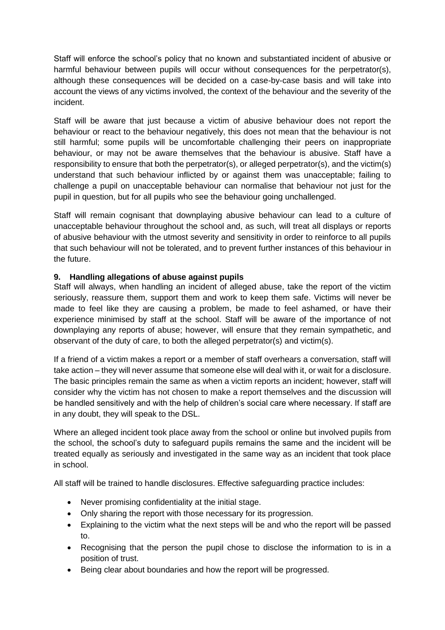Staff will enforce the school's policy that no known and substantiated incident of abusive or harmful behaviour between pupils will occur without consequences for the perpetrator(s), although these consequences will be decided on a case-by-case basis and will take into account the views of any victims involved, the context of the behaviour and the severity of the incident.

Staff will be aware that just because a victim of abusive behaviour does not report the behaviour or react to the behaviour negatively, this does not mean that the behaviour is not still harmful; some pupils will be uncomfortable challenging their peers on inappropriate behaviour, or may not be aware themselves that the behaviour is abusive. Staff have a responsibility to ensure that both the perpetrator(s), or alleged perpetrator(s), and the victim(s) understand that such behaviour inflicted by or against them was unacceptable; failing to challenge a pupil on unacceptable behaviour can normalise that behaviour not just for the pupil in question, but for all pupils who see the behaviour going unchallenged.

Staff will remain cognisant that downplaying abusive behaviour can lead to a culture of unacceptable behaviour throughout the school and, as such, will treat all displays or reports of abusive behaviour with the utmost severity and sensitivity in order to reinforce to all pupils that such behaviour will not be tolerated, and to prevent further instances of this behaviour in the future.

#### **9. Handling allegations of abuse against pupils**

Staff will always, when handling an incident of alleged abuse, take the report of the victim seriously, reassure them, support them and work to keep them safe. Victims will never be made to feel like they are causing a problem, be made to feel ashamed, or have their experience minimised by staff at the school. Staff will be aware of the importance of not downplaying any reports of abuse; however, will ensure that they remain sympathetic, and observant of the duty of care, to both the alleged perpetrator(s) and victim(s).

If a friend of a victim makes a report or a member of staff overhears a conversation, staff will take action – they will never assume that someone else will deal with it, or wait for a disclosure. The basic principles remain the same as when a victim reports an incident; however, staff will consider why the victim has not chosen to make a report themselves and the discussion will be handled sensitively and with the help of children's social care where necessary. If staff are in any doubt, they will speak to the DSL.

Where an alleged incident took place away from the school or online but involved pupils from the school, the school's duty to safeguard pupils remains the same and the incident will be treated equally as seriously and investigated in the same way as an incident that took place in school.

All staff will be trained to handle disclosures. Effective safeguarding practice includes:

- Never promising confidentiality at the initial stage.
- Only sharing the report with those necessary for its progression.
- Explaining to the victim what the next steps will be and who the report will be passed to.
- Recognising that the person the pupil chose to disclose the information to is in a position of trust.
- Being clear about boundaries and how the report will be progressed.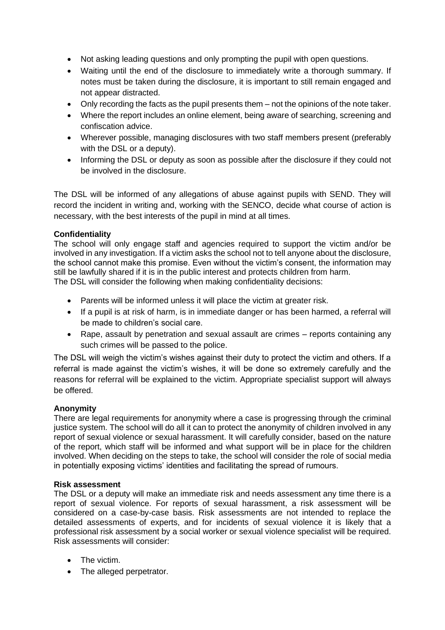- Not asking leading questions and only prompting the pupil with open questions.
- Waiting until the end of the disclosure to immediately write a thorough summary. If notes must be taken during the disclosure, it is important to still remain engaged and not appear distracted.
- Only recording the facts as the pupil presents them not the opinions of the note taker.
- Where the report includes an online element, being aware of searching, screening and confiscation advice.
- Wherever possible, managing disclosures with two staff members present (preferably with the DSL or a deputy).
- Informing the DSL or deputy as soon as possible after the disclosure if they could not be involved in the disclosure.

The DSL will be informed of any allegations of abuse against pupils with SEND. They will record the incident in writing and, working with the SENCO, decide what course of action is necessary, with the best interests of the pupil in mind at all times.

## **Confidentiality**

The school will only engage staff and agencies required to support the victim and/or be involved in any investigation. If a victim asks the school not to tell anyone about the disclosure, the school cannot make this promise. Even without the victim's consent, the information may still be lawfully shared if it is in the public interest and protects children from harm. The DSL will consider the following when making confidentiality decisions:

- Parents will be informed unless it will place the victim at greater risk.
- If a pupil is at risk of harm, is in immediate danger or has been harmed, a referral will be made to children's social care.
- Rape, assault by penetration and sexual assault are crimes reports containing any such crimes will be passed to the police.

The DSL will weigh the victim's wishes against their duty to protect the victim and others. If a referral is made against the victim's wishes, it will be done so extremely carefully and the reasons for referral will be explained to the victim. Appropriate specialist support will always be offered.

#### **Anonymity**

There are legal requirements for anonymity where a case is progressing through the criminal justice system. The school will do all it can to protect the anonymity of children involved in any report of sexual violence or sexual harassment. It will carefully consider, based on the nature of the report, which staff will be informed and what support will be in place for the children involved. When deciding on the steps to take, the school will consider the role of social media in potentially exposing victims' identities and facilitating the spread of rumours.

#### **Risk assessment**

The DSL or a deputy will make an immediate risk and needs assessment any time there is a report of sexual violence. For reports of sexual harassment, a risk assessment will be considered on a case-by-case basis. Risk assessments are not intended to replace the detailed assessments of experts, and for incidents of sexual violence it is likely that a professional risk assessment by a social worker or sexual violence specialist will be required. Risk assessments will consider:

- The victim.
- The alleged perpetrator.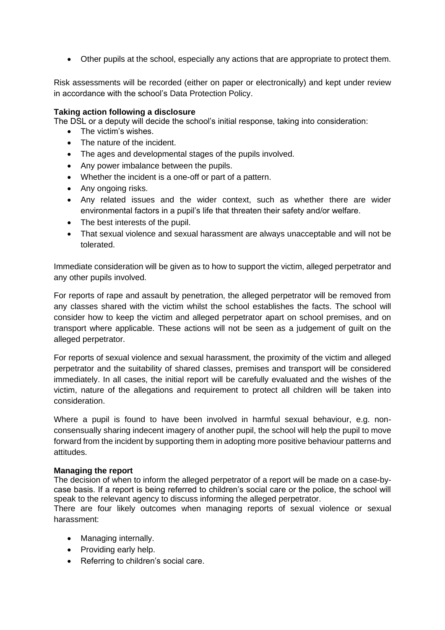• Other pupils at the school, especially any actions that are appropriate to protect them.

Risk assessments will be recorded (either on paper or electronically) and kept under review in accordance with the school's Data Protection Policy.

#### **Taking action following a disclosure**

The DSL or a deputy will decide the school's initial response, taking into consideration:

- The victim's wishes.
- The nature of the incident.
- The ages and developmental stages of the pupils involved.
- Any power imbalance between the pupils.
- Whether the incident is a one-off or part of a pattern.
- Any ongoing risks.
- Any related issues and the wider context, such as whether there are wider environmental factors in a pupil's life that threaten their safety and/or welfare.
- The best interests of the pupil.
- That sexual violence and sexual harassment are always unacceptable and will not be tolerated.

Immediate consideration will be given as to how to support the victim, alleged perpetrator and any other pupils involved.

For reports of rape and assault by penetration, the alleged perpetrator will be removed from any classes shared with the victim whilst the school establishes the facts. The school will consider how to keep the victim and alleged perpetrator apart on school premises, and on transport where applicable. These actions will not be seen as a judgement of guilt on the alleged perpetrator.

For reports of sexual violence and sexual harassment, the proximity of the victim and alleged perpetrator and the suitability of shared classes, premises and transport will be considered immediately. In all cases, the initial report will be carefully evaluated and the wishes of the victim, nature of the allegations and requirement to protect all children will be taken into consideration.

Where a pupil is found to have been involved in harmful sexual behaviour, e.g. nonconsensually sharing indecent imagery of another pupil, the school will help the pupil to move forward from the incident by supporting them in adopting more positive behaviour patterns and attitudes.

#### **Managing the report**

The decision of when to inform the alleged perpetrator of a report will be made on a case-bycase basis. If a report is being referred to children's social care or the police, the school will speak to the relevant agency to discuss informing the alleged perpetrator.

There are four likely outcomes when managing reports of sexual violence or sexual harassment:

- Managing internally.
- Providing early help.
- Referring to children's social care.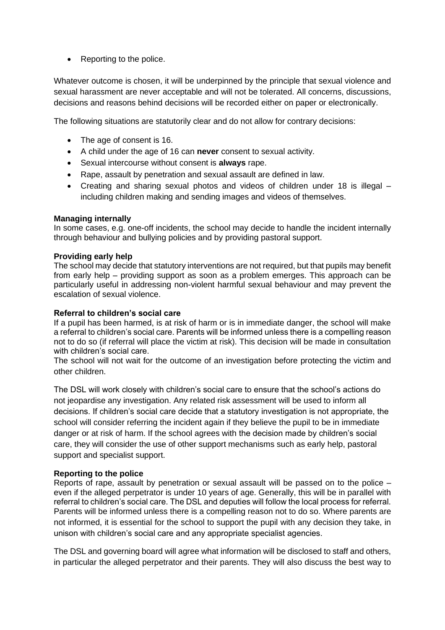• Reporting to the police.

Whatever outcome is chosen, it will be underpinned by the principle that sexual violence and sexual harassment are never acceptable and will not be tolerated. All concerns, discussions, decisions and reasons behind decisions will be recorded either on paper or electronically.

The following situations are statutorily clear and do not allow for contrary decisions:

- The age of consent is 16.
- A child under the age of 16 can **never** consent to sexual activity.
- Sexual intercourse without consent is **always** rape.
- Rape, assault by penetration and sexual assault are defined in law.
- Creating and sharing sexual photos and videos of children under 18 is illegal including children making and sending images and videos of themselves.

#### **Managing internally**

In some cases, e.g. one-off incidents, the school may decide to handle the incident internally through behaviour and bullying policies and by providing pastoral support.

#### **Providing early help**

The school may decide that statutory interventions are not required, but that pupils may benefit from early help – providing support as soon as a problem emerges. This approach can be particularly useful in addressing non-violent harmful sexual behaviour and may prevent the escalation of sexual violence.

#### **Referral to children's social care**

If a pupil has been harmed, is at risk of harm or is in immediate danger, the school will make a referral to children's social care. Parents will be informed unless there is a compelling reason not to do so (if referral will place the victim at risk). This decision will be made in consultation with children's social care.

The school will not wait for the outcome of an investigation before protecting the victim and other children.

The DSL will work closely with children's social care to ensure that the school's actions do not jeopardise any investigation. Any related risk assessment will be used to inform all decisions. If children's social care decide that a statutory investigation is not appropriate, the school will consider referring the incident again if they believe the pupil to be in immediate danger or at risk of harm. If the school agrees with the decision made by children's social care, they will consider the use of other support mechanisms such as early help, pastoral support and specialist support.

#### **Reporting to the police**

Reports of rape, assault by penetration or sexual assault will be passed on to the police – even if the alleged perpetrator is under 10 years of age. Generally, this will be in parallel with referral to children's social care. The DSL and deputies will follow the local process for referral. Parents will be informed unless there is a compelling reason not to do so. Where parents are not informed, it is essential for the school to support the pupil with any decision they take, in unison with children's social care and any appropriate specialist agencies.

The DSL and governing board will agree what information will be disclosed to staff and others, in particular the alleged perpetrator and their parents. They will also discuss the best way to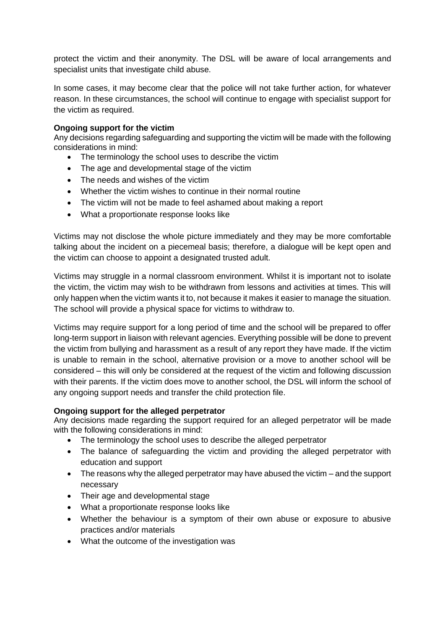protect the victim and their anonymity. The DSL will be aware of local arrangements and specialist units that investigate child abuse.

In some cases, it may become clear that the police will not take further action, for whatever reason. In these circumstances, the school will continue to engage with specialist support for the victim as required.

#### **Ongoing support for the victim**

Any decisions regarding safeguarding and supporting the victim will be made with the following considerations in mind:

- The terminology the school uses to describe the victim
- The age and developmental stage of the victim
- The needs and wishes of the victim
- Whether the victim wishes to continue in their normal routine
- The victim will not be made to feel ashamed about making a report
- What a proportionate response looks like

Victims may not disclose the whole picture immediately and they may be more comfortable talking about the incident on a piecemeal basis; therefore, a dialogue will be kept open and the victim can choose to appoint a designated trusted adult.

Victims may struggle in a normal classroom environment. Whilst it is important not to isolate the victim, the victim may wish to be withdrawn from lessons and activities at times. This will only happen when the victim wants it to, not because it makes it easier to manage the situation. The school will provide a physical space for victims to withdraw to.

Victims may require support for a long period of time and the school will be prepared to offer long-term support in liaison with relevant agencies. Everything possible will be done to prevent the victim from bullying and harassment as a result of any report they have made. If the victim is unable to remain in the school, alternative provision or a move to another school will be considered – this will only be considered at the request of the victim and following discussion with their parents. If the victim does move to another school, the DSL will inform the school of any ongoing support needs and transfer the child protection file.

#### **Ongoing support for the alleged perpetrator**

Any decisions made regarding the support required for an alleged perpetrator will be made with the following considerations in mind:

- The terminology the school uses to describe the alleged perpetrator
- The balance of safeguarding the victim and providing the alleged perpetrator with education and support
- The reasons why the alleged perpetrator may have abused the victim and the support necessary
- Their age and developmental stage
- What a proportionate response looks like
- Whether the behaviour is a symptom of their own abuse or exposure to abusive practices and/or materials
- What the outcome of the investigation was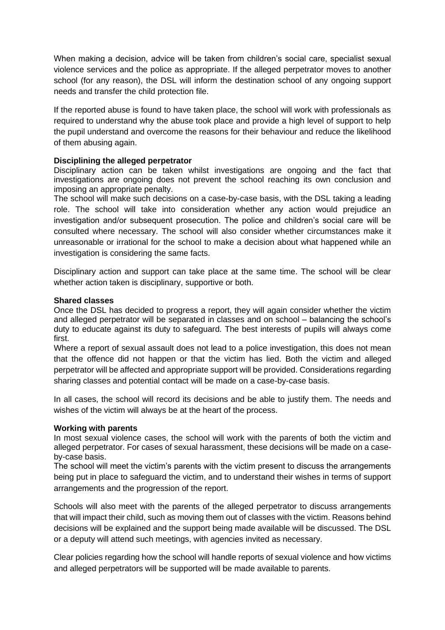When making a decision, advice will be taken from children's social care, specialist sexual violence services and the police as appropriate. If the alleged perpetrator moves to another school (for any reason), the DSL will inform the destination school of any ongoing support needs and transfer the child protection file.

If the reported abuse is found to have taken place, the school will work with professionals as required to understand why the abuse took place and provide a high level of support to help the pupil understand and overcome the reasons for their behaviour and reduce the likelihood of them abusing again.

#### **Disciplining the alleged perpetrator**

Disciplinary action can be taken whilst investigations are ongoing and the fact that investigations are ongoing does not prevent the school reaching its own conclusion and imposing an appropriate penalty.

The school will make such decisions on a case-by-case basis, with the DSL taking a leading role. The school will take into consideration whether any action would prejudice an investigation and/or subsequent prosecution. The police and children's social care will be consulted where necessary. The school will also consider whether circumstances make it unreasonable or irrational for the school to make a decision about what happened while an investigation is considering the same facts.

Disciplinary action and support can take place at the same time. The school will be clear whether action taken is disciplinary, supportive or both.

#### **Shared classes**

Once the DSL has decided to progress a report, they will again consider whether the victim and alleged perpetrator will be separated in classes and on school – balancing the school's duty to educate against its duty to safeguard. The best interests of pupils will always come first.

Where a report of sexual assault does not lead to a police investigation, this does not mean that the offence did not happen or that the victim has lied. Both the victim and alleged perpetrator will be affected and appropriate support will be provided. Considerations regarding sharing classes and potential contact will be made on a case-by-case basis.

In all cases, the school will record its decisions and be able to justify them. The needs and wishes of the victim will always be at the heart of the process.

#### **Working with parents**

In most sexual violence cases, the school will work with the parents of both the victim and alleged perpetrator. For cases of sexual harassment, these decisions will be made on a caseby-case basis.

The school will meet the victim's parents with the victim present to discuss the arrangements being put in place to safeguard the victim, and to understand their wishes in terms of support arrangements and the progression of the report.

Schools will also meet with the parents of the alleged perpetrator to discuss arrangements that will impact their child, such as moving them out of classes with the victim. Reasons behind decisions will be explained and the support being made available will be discussed. The DSL or a deputy will attend such meetings, with agencies invited as necessary.

Clear policies regarding how the school will handle reports of sexual violence and how victims and alleged perpetrators will be supported will be made available to parents.